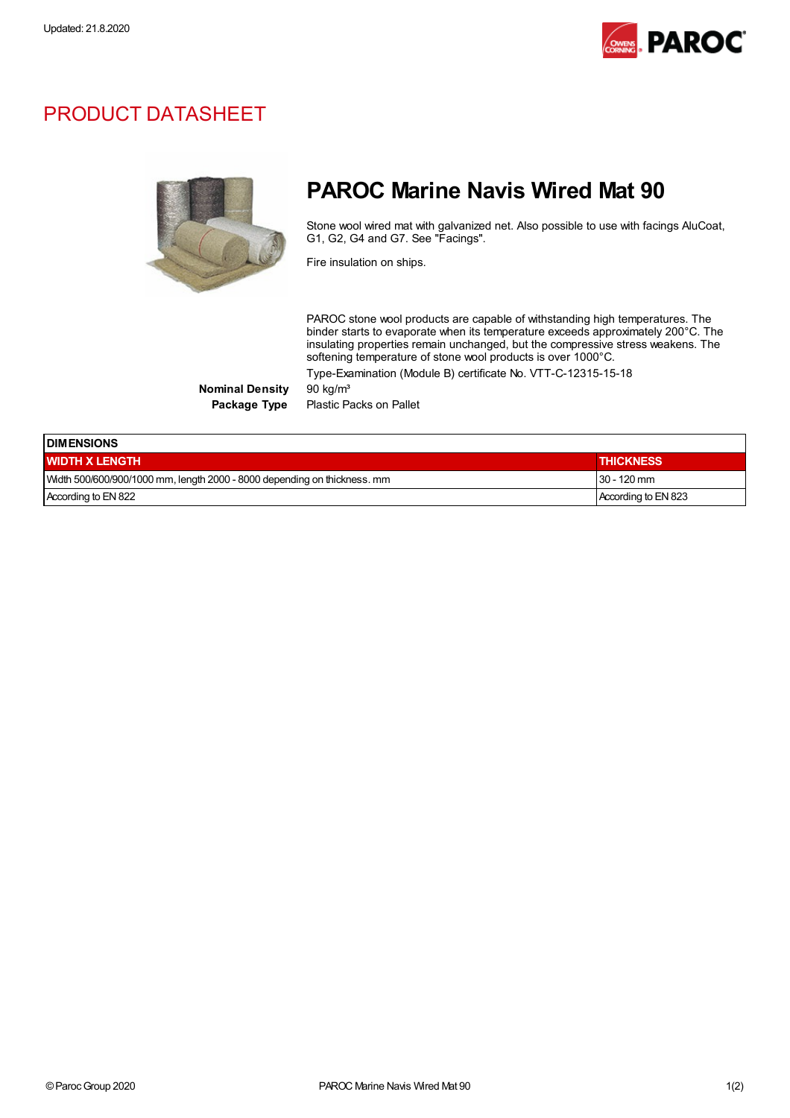

## PRODUCT DATASHEET



## PAROC Marine Navis Wired Mat 90

Stone wool wired mat with galvanized net. Also possible to use with facings AluCoat, G1, G2, G4 and G7. See "Facings".

Fire insulation on ships.

PAROC stone wool products are capable of withstanding high temperatures. The binder starts to evaporate when its temperature exceeds approximately 200°C. The insulating properties remain unchanged, but the compressive stress weakens. The softening temperature of stone wool products is over 1000°C. Type-Examination (Module B) certificate No. VTT-C-12315-15-18

Nominal Density 90 kg/m<sup>3</sup>

Package Type Plastic Packs on Pallet

| <b>IDIMENSIONS</b>                                                       |                     |  |
|--------------------------------------------------------------------------|---------------------|--|
| <b>WIDTH X LENGTH</b>                                                    | <b>THICKNESS</b>    |  |
| Width 500/600/900/1000 mm, length 2000 - 8000 depending on thickness. mm | $30 - 120$ mm       |  |
| According to EN 822                                                      | According to EN 823 |  |